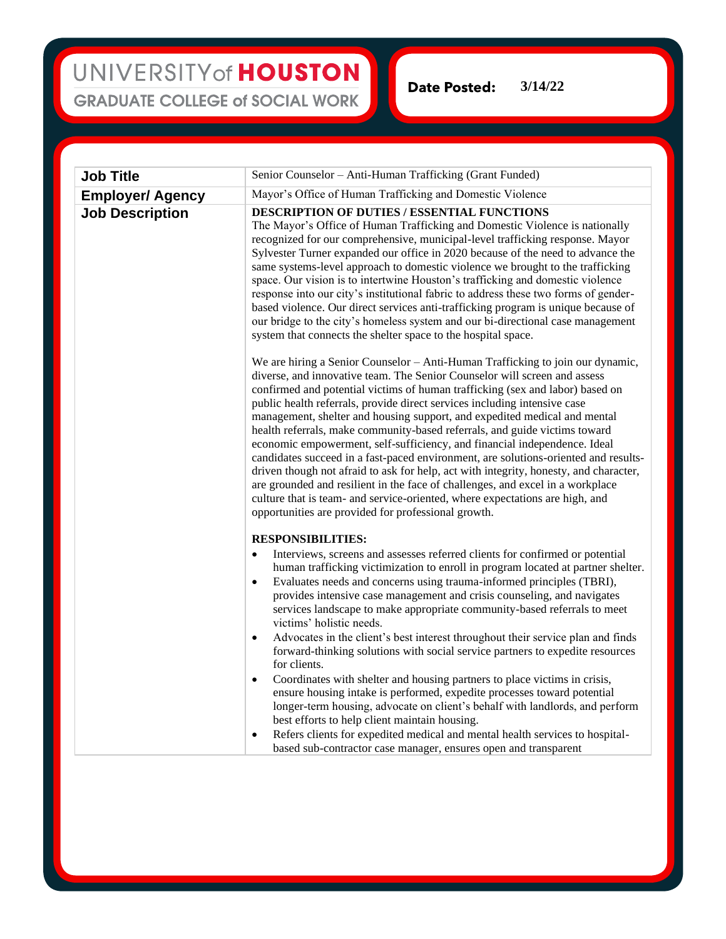### UNIVERSITY of HOUSTON **GRADUATE COLLEGE of SOCIAL WORK**

**Date Posted: 3/14/22**

| <b>Job Title</b>        | Senior Counselor - Anti-Human Trafficking (Grant Funded)                                                                                                                                                                                                                                                                                                                                                                                                                                                                                                                                                                                                                                                                                                                                                                                                                                                                                                                                                                                                                                                                                                  |
|-------------------------|-----------------------------------------------------------------------------------------------------------------------------------------------------------------------------------------------------------------------------------------------------------------------------------------------------------------------------------------------------------------------------------------------------------------------------------------------------------------------------------------------------------------------------------------------------------------------------------------------------------------------------------------------------------------------------------------------------------------------------------------------------------------------------------------------------------------------------------------------------------------------------------------------------------------------------------------------------------------------------------------------------------------------------------------------------------------------------------------------------------------------------------------------------------|
| <b>Employer/ Agency</b> | Mayor's Office of Human Trafficking and Domestic Violence                                                                                                                                                                                                                                                                                                                                                                                                                                                                                                                                                                                                                                                                                                                                                                                                                                                                                                                                                                                                                                                                                                 |
| <b>Job Description</b>  | <b>DESCRIPTION OF DUTIES / ESSENTIAL FUNCTIONS</b><br>The Mayor's Office of Human Trafficking and Domestic Violence is nationally<br>recognized for our comprehensive, municipal-level trafficking response. Mayor<br>Sylvester Turner expanded our office in 2020 because of the need to advance the<br>same systems-level approach to domestic violence we brought to the trafficking<br>space. Our vision is to intertwine Houston's trafficking and domestic violence<br>response into our city's institutional fabric to address these two forms of gender-<br>based violence. Our direct services anti-trafficking program is unique because of<br>our bridge to the city's homeless system and our bi-directional case management<br>system that connects the shelter space to the hospital space.                                                                                                                                                                                                                                                                                                                                                 |
|                         | We are hiring a Senior Counselor - Anti-Human Trafficking to join our dynamic,<br>diverse, and innovative team. The Senior Counselor will screen and assess<br>confirmed and potential victims of human trafficking (sex and labor) based on<br>public health referrals, provide direct services including intensive case<br>management, shelter and housing support, and expedited medical and mental<br>health referrals, make community-based referrals, and guide victims toward<br>economic empowerment, self-sufficiency, and financial independence. Ideal<br>candidates succeed in a fast-paced environment, are solutions-oriented and results-<br>driven though not afraid to ask for help, act with integrity, honesty, and character,<br>are grounded and resilient in the face of challenges, and excel in a workplace<br>culture that is team- and service-oriented, where expectations are high, and<br>opportunities are provided for professional growth.                                                                                                                                                                                |
|                         | <b>RESPONSIBILITIES:</b><br>Interviews, screens and assesses referred clients for confirmed or potential<br>$\bullet$<br>human trafficking victimization to enroll in program located at partner shelter.<br>Evaluates needs and concerns using trauma-informed principles (TBRI),<br>$\bullet$<br>provides intensive case management and crisis counseling, and navigates<br>services landscape to make appropriate community-based referrals to meet<br>victims' holistic needs.<br>Advocates in the client's best interest throughout their service plan and finds<br>$\bullet$<br>forward-thinking solutions with social service partners to expedite resources<br>for clients.<br>Coordinates with shelter and housing partners to place victims in crisis,<br>$\bullet$<br>ensure housing intake is performed, expedite processes toward potential<br>longer-term housing, advocate on client's behalf with landlords, and perform<br>best efforts to help client maintain housing.<br>Refers clients for expedited medical and mental health services to hospital-<br>$\bullet$<br>based sub-contractor case manager, ensures open and transparent |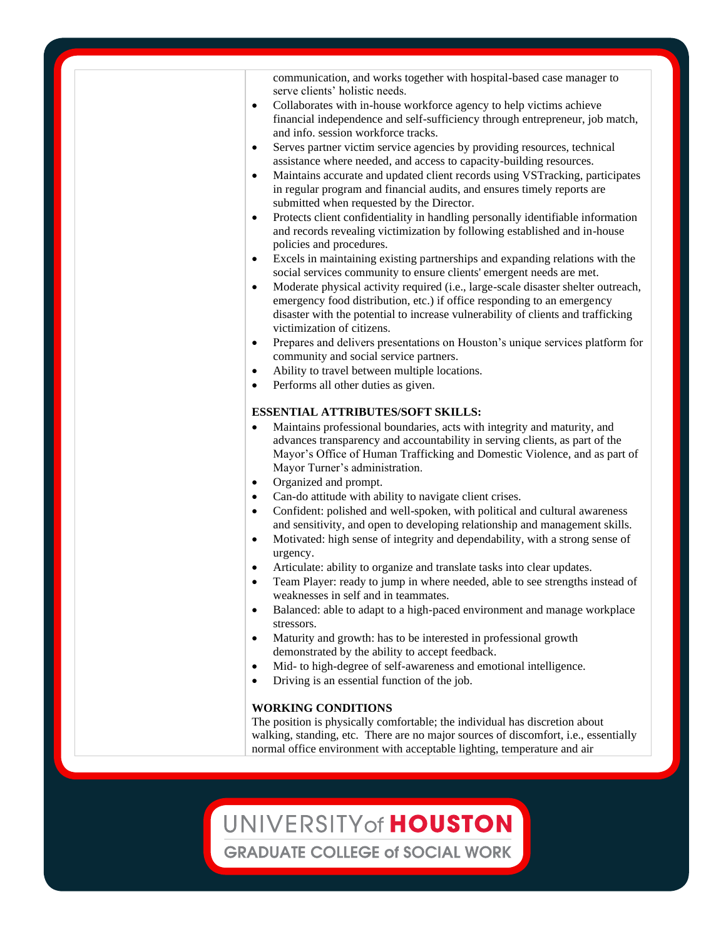communication, and works together with hospital-based case manager to serve clients' holistic needs.

- Collaborates with in-house workforce agency to help victims achieve financial independence and self-sufficiency through entrepreneur, job match, and info. session workforce tracks.
- Serves partner victim service agencies by providing resources, technical assistance where needed, and access to capacity-building resources.
- Maintains accurate and updated client records using VSTracking, participates in regular program and financial audits, and ensures timely reports are submitted when requested by the Director.
- Protects client confidentiality in handling personally identifiable information and records revealing victimization by following established and in-house policies and procedures.
- Excels in maintaining existing partnerships and expanding relations with the social services community to ensure clients' emergent needs are met.
- Moderate physical activity required (i.e., large-scale disaster shelter outreach, emergency food distribution, etc.) if office responding to an emergency disaster with the potential to increase vulnerability of clients and trafficking victimization of citizens.
- Prepares and delivers presentations on Houston's unique services platform for community and social service partners.
- Ability to travel between multiple locations.
- Performs all other duties as given.

#### **ESSENTIAL ATTRIBUTES/SOFT SKILLS:**

- Maintains professional boundaries, acts with integrity and maturity, and advances transparency and accountability in serving clients, as part of the Mayor's Office of Human Trafficking and Domestic Violence, and as part of Mayor Turner's administration.
- Organized and prompt.
- Can-do attitude with ability to navigate client crises.
- Confident: polished and well-spoken, with political and cultural awareness and sensitivity, and open to developing relationship and management skills.
- Motivated: high sense of integrity and dependability, with a strong sense of urgency.
- Articulate: ability to organize and translate tasks into clear updates.
- Team Player: ready to jump in where needed, able to see strengths instead of weaknesses in self and in teammates.
- Balanced: able to adapt to a high-paced environment and manage workplace stressors.
- Maturity and growth: has to be interested in professional growth demonstrated by the ability to accept feedback.
- Mid- to high-degree of self-awareness and emotional intelligence.
- Driving is an essential function of the job.

#### **WORKING CONDITIONS**

The position is physically comfortable; the individual has discretion about walking, standing, etc. There are no major sources of discomfort, i.e., essentially normal office environment with acceptable lighting, temperature and air

## UNIVERSITY of HOUSTON

**GRADUATE COLLEGE of SOCIAL WORK**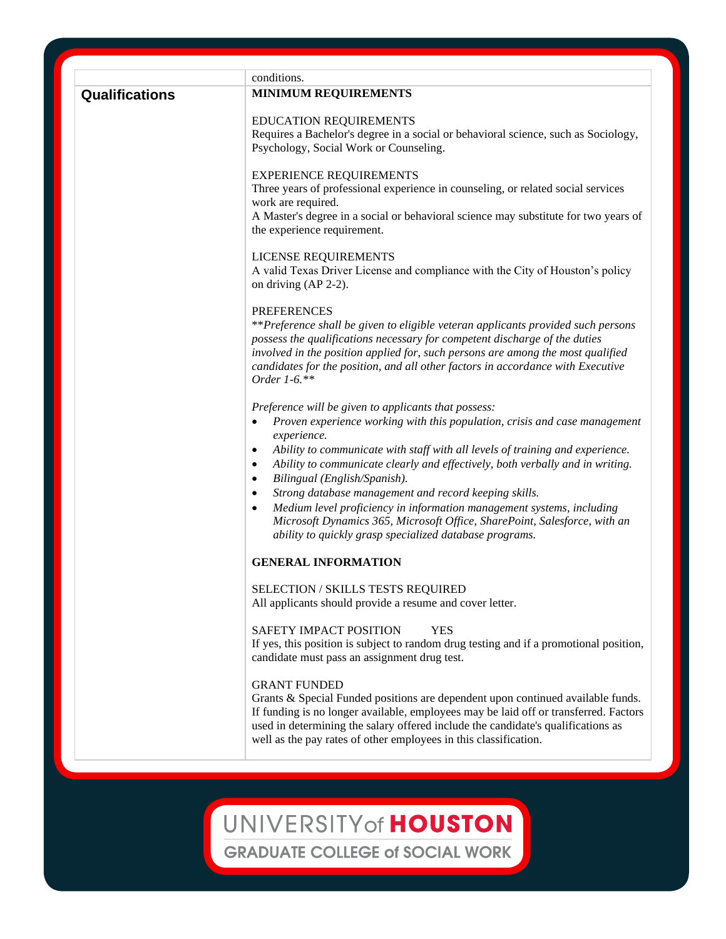|                | conditions.                                                                                                                                                   |
|----------------|---------------------------------------------------------------------------------------------------------------------------------------------------------------|
| Qualifications | <b>MINIMUM REQUIREMENTS</b>                                                                                                                                   |
|                | <b>EDUCATION REQUIREMENTS</b>                                                                                                                                 |
|                | Requires a Bachelor's degree in a social or behavioral science, such as Sociology,                                                                            |
|                | Psychology, Social Work or Counseling.                                                                                                                        |
|                | <b>EXPERIENCE REQUIREMENTS</b>                                                                                                                                |
|                | Three years of professional experience in counseling, or related social services<br>work are required.                                                        |
|                | A Master's degree in a social or behavioral science may substitute for two years of                                                                           |
|                | the experience requirement.                                                                                                                                   |
|                | LICENSE REQUIREMENTS                                                                                                                                          |
|                | A valid Texas Driver License and compliance with the City of Houston's policy<br>on driving (AP 2-2).                                                         |
|                | <b>PREFERENCES</b>                                                                                                                                            |
|                | **Preference shall be given to eligible veteran applicants provided such persons                                                                              |
|                | possess the qualifications necessary for competent discharge of the duties<br>involved in the position applied for, such persons are among the most qualified |
|                | candidates for the position, and all other factors in accordance with Executive                                                                               |
|                | Order 1-6.**                                                                                                                                                  |
|                | Preference will be given to applicants that possess:                                                                                                          |
|                | Proven experience working with this population, crisis and case management<br>$\bullet$                                                                       |
|                | experience.                                                                                                                                                   |
|                | Ability to communicate with staff with all levels of training and experience.<br>$\bullet$                                                                    |
|                | Ability to communicate clearly and effectively, both verbally and in writing.<br>$\bullet$<br>Bilingual (English/Spanish).<br>$\bullet$                       |
|                | Strong database management and record keeping skills.<br>$\bullet$                                                                                            |
|                | Medium level proficiency in information management systems, including<br>$\bullet$                                                                            |
|                | Microsoft Dynamics 365, Microsoft Office, SharePoint, Salesforce, with an                                                                                     |
|                | ability to quickly grasp specialized database programs.                                                                                                       |
|                | <b>GENERAL INFORMATION</b>                                                                                                                                    |
|                | <b>SELECTION / SKILLS TESTS REQUIRED</b>                                                                                                                      |
|                | All applicants should provide a resume and cover letter.                                                                                                      |
|                | <b>SAFETY IMPACT POSITION</b><br>YES                                                                                                                          |
|                | If yes, this position is subject to random drug testing and if a promotional position,                                                                        |
|                | candidate must pass an assignment drug test.                                                                                                                  |
|                | <b>GRANT FUNDED</b>                                                                                                                                           |
|                | Grants & Special Funded positions are dependent upon continued available funds.                                                                               |
|                | If funding is no longer available, employees may be laid off or transferred. Factors                                                                          |
|                | used in determining the salary offered include the candidate's qualifications as<br>well as the pay rates of other employees in this classification.          |
|                |                                                                                                                                                               |
|                |                                                                                                                                                               |
|                |                                                                                                                                                               |
|                |                                                                                                                                                               |

**GRADUATE COLLEGE of SOCIAL WORK**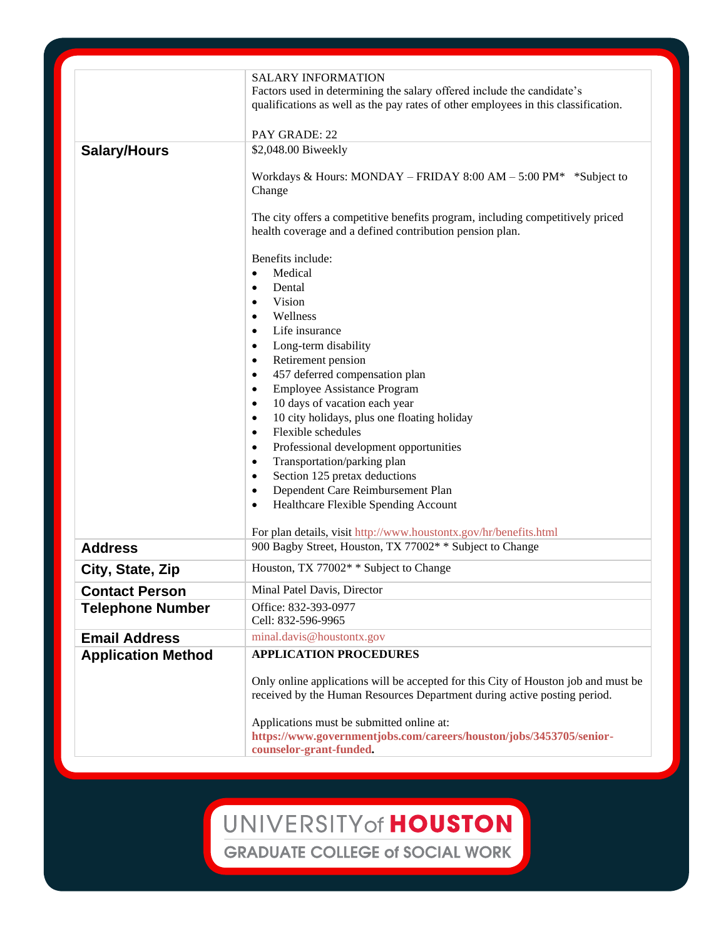|                           | <b>SALARY INFORMATION</b><br>Factors used in determining the salary offered include the candidate's<br>qualifications as well as the pay rates of other employees in this classification. |
|---------------------------|-------------------------------------------------------------------------------------------------------------------------------------------------------------------------------------------|
|                           | PAY GRADE: 22                                                                                                                                                                             |
| <b>Salary/Hours</b>       | \$2,048.00 Biweekly                                                                                                                                                                       |
|                           | Workdays & Hours: MONDAY – FRIDAY 8:00 AM – 5:00 PM* *Subject to<br>Change                                                                                                                |
|                           | The city offers a competitive benefits program, including competitively priced<br>health coverage and a defined contribution pension plan.                                                |
|                           | Benefits include:                                                                                                                                                                         |
|                           | Medical<br>$\bullet$                                                                                                                                                                      |
|                           | Dental<br>$\bullet$                                                                                                                                                                       |
|                           | Vision<br>$\bullet$                                                                                                                                                                       |
|                           | Wellness<br>$\bullet$                                                                                                                                                                     |
|                           | Life insurance<br>$\bullet$                                                                                                                                                               |
|                           | Long-term disability<br>$\bullet$                                                                                                                                                         |
|                           | Retirement pension<br>$\bullet$                                                                                                                                                           |
|                           | 457 deferred compensation plan<br>$\bullet$                                                                                                                                               |
|                           | <b>Employee Assistance Program</b><br>$\bullet$                                                                                                                                           |
|                           | 10 days of vacation each year<br>$\bullet$                                                                                                                                                |
|                           | 10 city holidays, plus one floating holiday<br>$\bullet$<br>Flexible schedules<br>$\bullet$                                                                                               |
|                           | Professional development opportunities<br>$\bullet$                                                                                                                                       |
|                           | Transportation/parking plan<br>$\bullet$                                                                                                                                                  |
|                           | Section 125 pretax deductions<br>$\bullet$                                                                                                                                                |
|                           | Dependent Care Reimbursement Plan<br>$\bullet$                                                                                                                                            |
|                           | Healthcare Flexible Spending Account<br>$\bullet$                                                                                                                                         |
|                           |                                                                                                                                                                                           |
|                           | For plan details, visit http://www.houstontx.gov/hr/benefits.html                                                                                                                         |
| <b>Address</b>            | 900 Bagby Street, Houston, TX 77002* * Subject to Change                                                                                                                                  |
| City, State, Zip          | Houston, TX 77002* * Subject to Change                                                                                                                                                    |
| <b>Contact Person</b>     | Minal Patel Davis, Director                                                                                                                                                               |
| <b>Telephone Number</b>   | Office: 832-393-0977<br>Cell: 832-596-9965                                                                                                                                                |
| <b>Email Address</b>      | minal.davis@houstontx.gov                                                                                                                                                                 |
| <b>Application Method</b> | <b>APPLICATION PROCEDURES</b>                                                                                                                                                             |
|                           | Only online applications will be accepted for this City of Houston job and must be<br>received by the Human Resources Department during active posting period.                            |
|                           | Applications must be submitted online at:<br>https://www.governmentjobs.com/careers/houston/jobs/3453705/senior-<br>counselor-grant-funded.                                               |

UNIVERSITY of HOUSTON **GRADUATE COLLEGE of SOCIAL WORK**